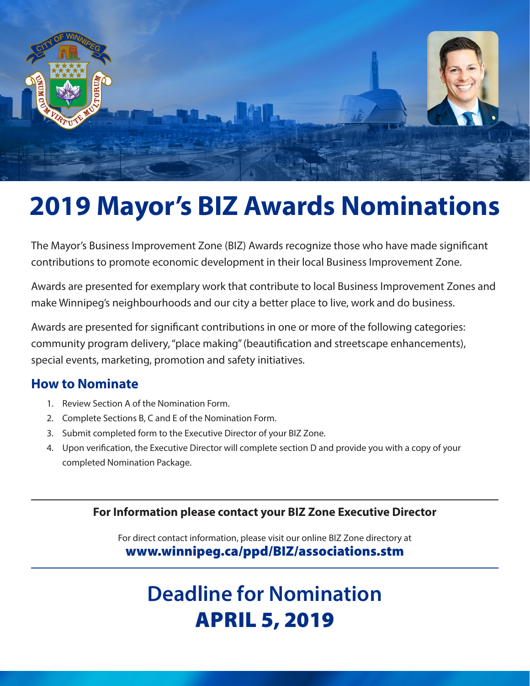

# **2019 Mayor's BIZ Awards Nominations**

The Mayor's Business Improvement Zone (BIZ) Awards recognize those who have made significant contributions to promote economic development in their local Business Improvement Zone.

Awards are presented for exemplary work that contribute to local Business Improvement Zones and make Winnipeg's neighbourhoods and our city a better place to live, work and do business.

Awards are presented for significant contributions in one or more of the following categories: community program delivery, "place making" (beautification and streetscape enhancements), special events, marketing, promotion and safety initiatives.

## **How to Nominate**

- 1. Review Section A of the Nomination Form.
- 2. Complete Sections B, C and E of the Nomination Form.
- 3. Submit completed form to the Executive Director of your BIZ Zone.
- 4. Upon verification, the Executive Director will complete section D and provide you with a copy of your completed Nomination Package.

#### **For Information please contact your BIZ Zone Executive Director**

For direct contact information, please visit our online BIZ Zone directory at www.winnipeg.ca/ppd/BIZ/associations.stm

# **Deadline for Nomination** APRIL 5, 2019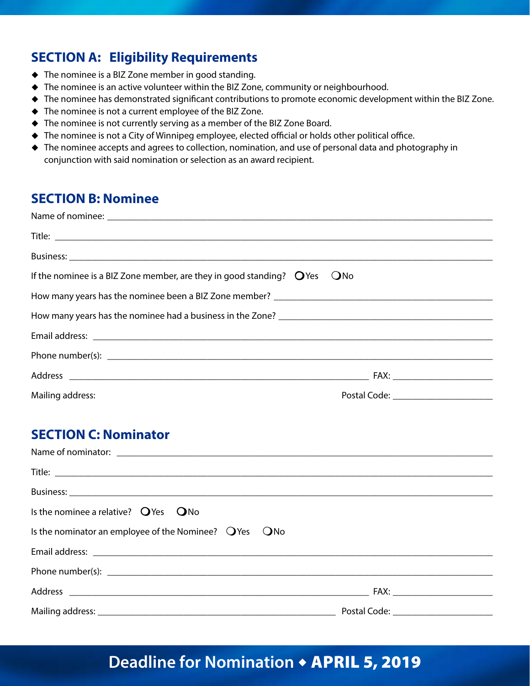# **SECTION A: Eligibility Requirements**

- $\blacklozenge$  The nominee is a BIZ Zone member in good standing.
- $\blacklozenge$  The nominee is an active volunteer within the BIZ Zone, community or neighbourhood.
- ◆ The nominee has demonstrated significant contributions to promote economic development within the BIZ Zone.
- $\blacklozenge$  The nominee is not a current employee of the BIZ Zone.
- $\blacklozenge$  The nominee is not currently serving as a member of the BIZ Zone Board.
- $\blacklozenge$  The nominee is not a City of Winnipeg employee, elected official or holds other political office.
- $\triangle$  The nominee accepts and agrees to collection, nomination, and use of personal data and photography in conjunction with said nomination or selection as an award recipient.

#### **SECTION B: Nominee**

| If the nominee is a BIZ Zone member, are they in good standing? $Q$ Yes $Q$ No |  |
|--------------------------------------------------------------------------------|--|
|                                                                                |  |
|                                                                                |  |
|                                                                                |  |
|                                                                                |  |
|                                                                                |  |
|                                                                                |  |

## **SECTION C: Nominator**

| Is the nominee a relative? $Q$ Yes $Q$ No                   |  |
|-------------------------------------------------------------|--|
| Is the nominator an employee of the Nominee? $Q$ Yes $Q$ No |  |
|                                                             |  |
|                                                             |  |
|                                                             |  |
|                                                             |  |

# Deadline for Nomination  $\triangle$  **APRIL 5, 2019**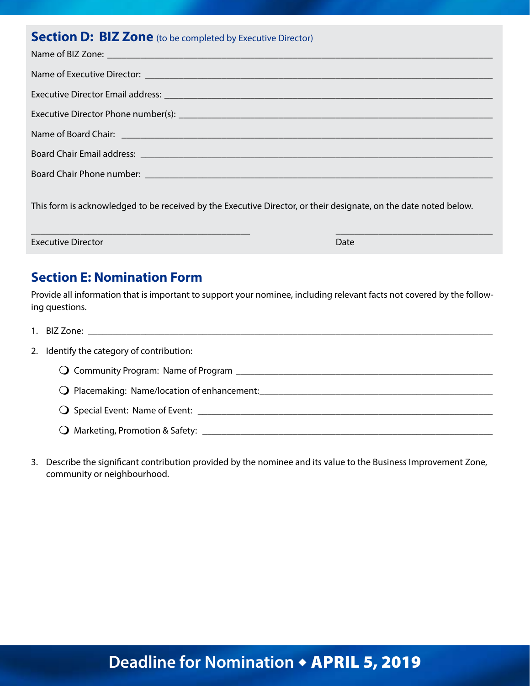## **Section D: BIZ Zone** (to be completed by Executive Director)

| Name of Executive Director: <u>Party of the Contractor</u> Contractor Contractor Contractor Contractor Contractor Contractor |
|------------------------------------------------------------------------------------------------------------------------------|
|                                                                                                                              |
|                                                                                                                              |
|                                                                                                                              |
| Board Chair Email address: 2008 2010 2020 2021 2022 2023 2024 2022 2023 2024 2022 2023 2024 2022 2023 2024 202               |
|                                                                                                                              |
| This form is acknowledged to be received by the Executive Director, or their designate, on the date noted below.             |

**Executive Director** Date **Date 2008 Contract Date 2008 Date 2008 Date** 2008

#### **Section E: Nomination Form**

Provide all information that is important to support your nominee, including relevant facts not covered by the following questions.

\_\_\_\_\_\_\_\_\_\_\_\_\_\_\_\_\_\_\_\_\_\_\_\_\_\_\_\_\_\_\_\_\_\_\_\_\_\_\_\_\_\_\_\_\_\_ \_\_\_\_\_\_\_\_\_\_\_\_\_\_\_\_\_\_\_\_\_\_\_\_\_\_\_\_\_\_\_\_\_

| 2. Identify the category of contribution:                                        |
|----------------------------------------------------------------------------------|
| <b>Q</b> Community Program: Name of Program                                      |
| O Placemaking: Name/location of enhancement: ___________________________________ |
|                                                                                  |

- m Marketing, Promotion & Safety: \_\_\_\_\_\_\_\_\_\_\_\_\_\_\_\_\_\_\_\_\_\_\_\_\_\_\_\_\_\_\_\_\_\_\_\_\_\_\_\_\_\_\_\_\_\_\_\_\_\_\_\_\_\_\_\_\_\_\_\_\_
- 3. Describe the significant contribution provided by the nominee and its value to the Business Improvement Zone, community or neighbourhood.

# Deadline for Nomination  $\triangle$  **APRIL 5, 2019**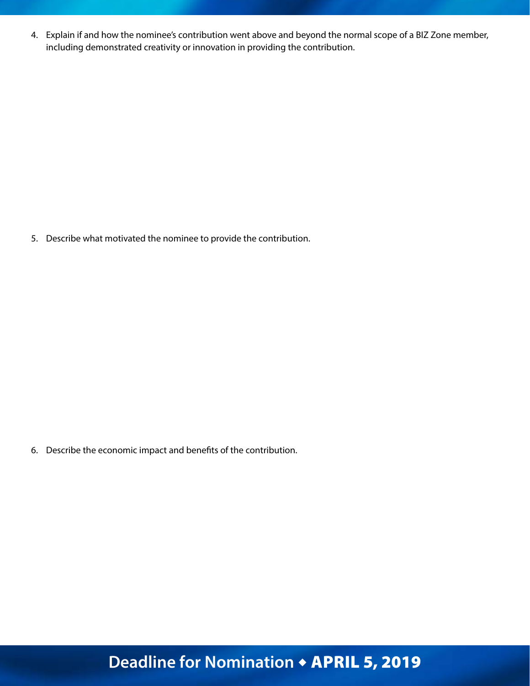4. Explain if and how the nominee's contribution went above and beyond the normal scope of a BIZ Zone member, including demonstrated creativity or innovation in providing the contribution.

5. Describe what motivated the nominee to provide the contribution.

6. Describe the economic impact and benefits of the contribution.

# Deadline for Nomination + APRIL 5, 2019